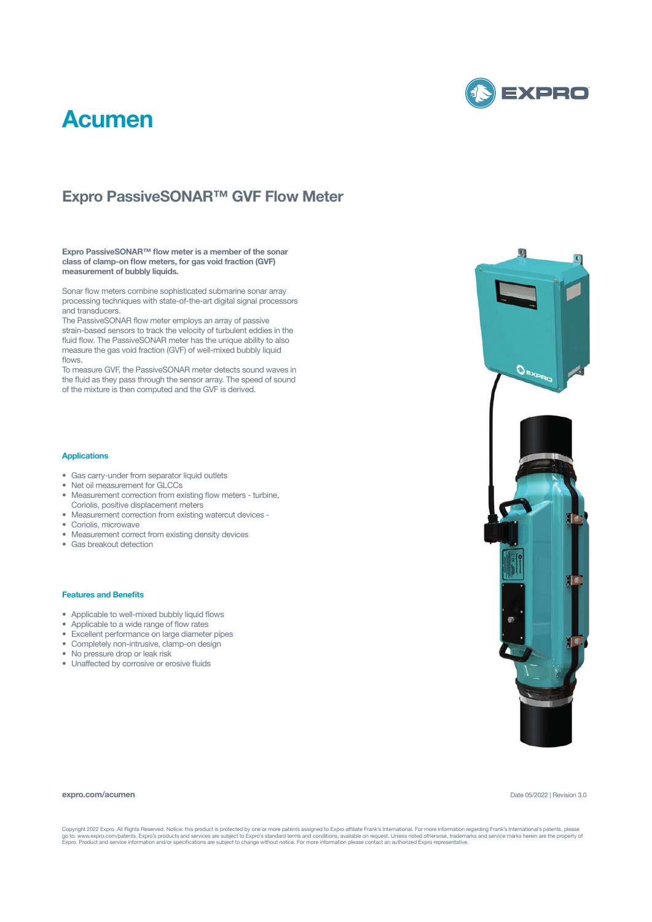

## **Acumen**

### **Expro PassiveSONAR™ GVF Flow Meter**

**Expro PassiveSONAR™ flow meter is a member of the sonar class of clamp-on flow meters, for gas void fraction (GVF) measurement of bubbly liquids.**

Sonar flow meters combine sophisticated submarine sonar array processing techniques with state-of-the-art digital signal processors and transducers.

The PassiveSONAR flow meter employs an array of passive strain-based sensors to track the velocity of turbulent eddies in the fluid flow. The PassiveSONAR meter has the unique ability to also measure the gas void fraction (GVF) of well-mixed bubbly liquid flows.

To measure GVF, the PassiveSONAR meter detects sound waves in the fluid as they pass through the sensor array. The speed of sound of the mixture is then computed and the GVF is derived.

#### **Applications**

- Gas carry-under from separator liquid outlets
- Net oil measurement for GLCCs
- Measurement correction from existing flow meters turbine, Coriolis, positive displacement meters
- Measurement correction from existing watercut devices -
- Coriolis, microwave
- Measurement correct from existing density devices
- Gas breakout detection

#### **Features and Benefits**

- Applicable to well-mixed bubbly liquid flows
- Applicable to a wide range of flow rates
- Excellent performance on large diameter pipes
- Completely non-intrusive, clamp-on design
- No pressure drop or leak risk
- Unaffected by corrosive or erosive fluids

#### **expro.com/acumen**

Date 05/2022 | Revision 3.0

Copyright 2022 Expro. All Rights Reserved. Notice: this product is protected by one or more patents assigned to Expro affiliate Frank's International. For more information regarding Frank's International's patents, please<br>